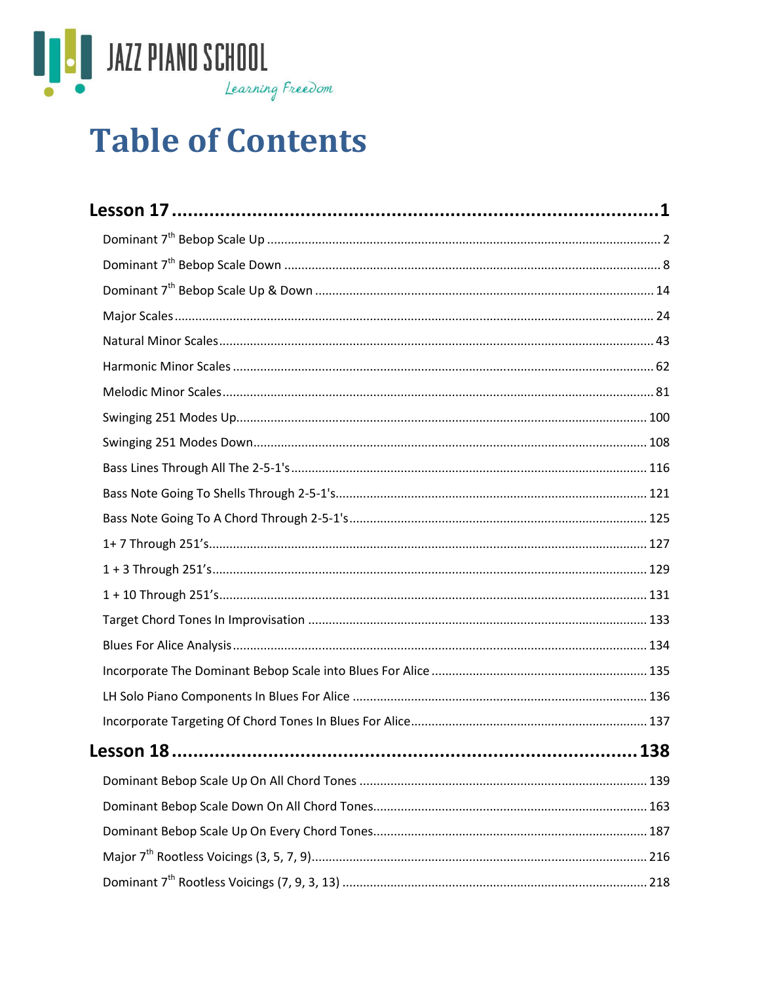

# **Table of Contents**

| Lesson 18 | 138 |
|-----------|-----|
|           |     |
|           |     |
|           |     |
|           |     |
|           |     |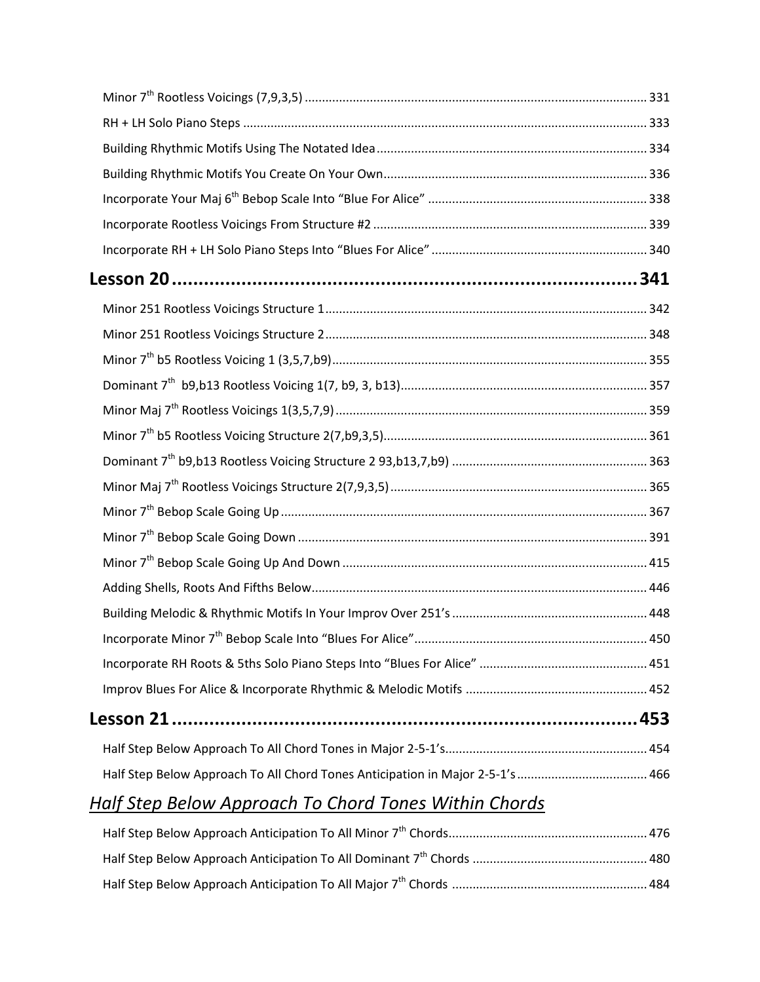| Half Step Below Approach To All Chord Tones Anticipation in Major 2-5-1's  466 |  |
|--------------------------------------------------------------------------------|--|

# *Half Step Below Approach To Chord Tones Within Chords*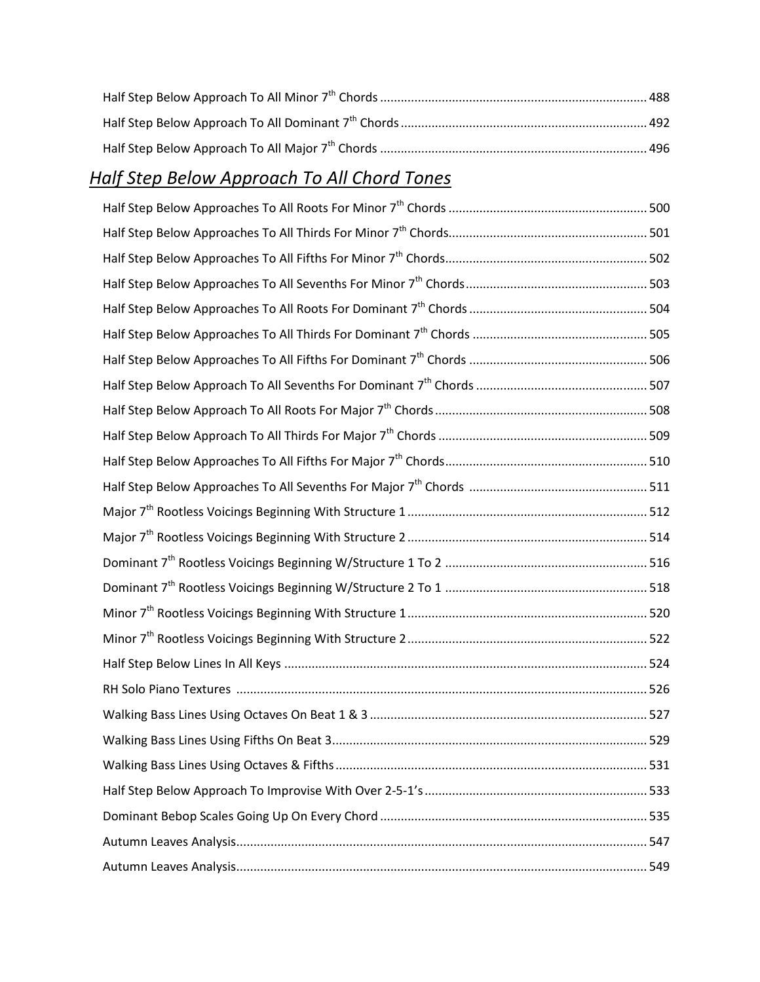# *Half Step Below Approach To All Chord Tones*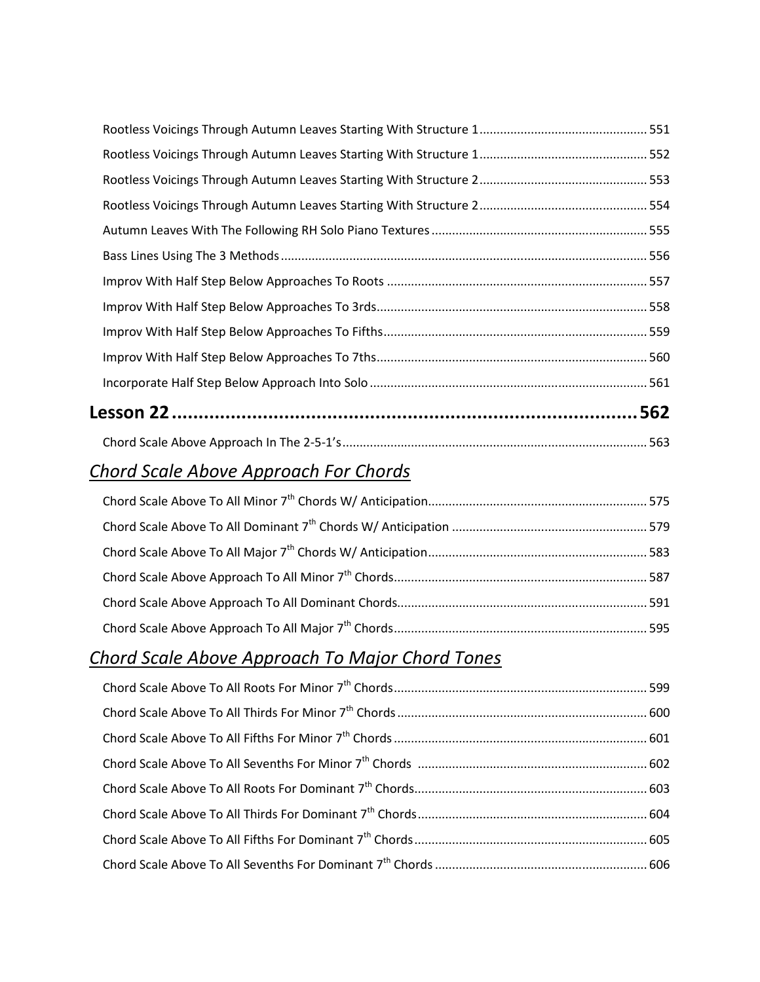#### *Chord Scale Above Approach For Chords*

#### *Chord Scale Above Approach To Major Chord Tones*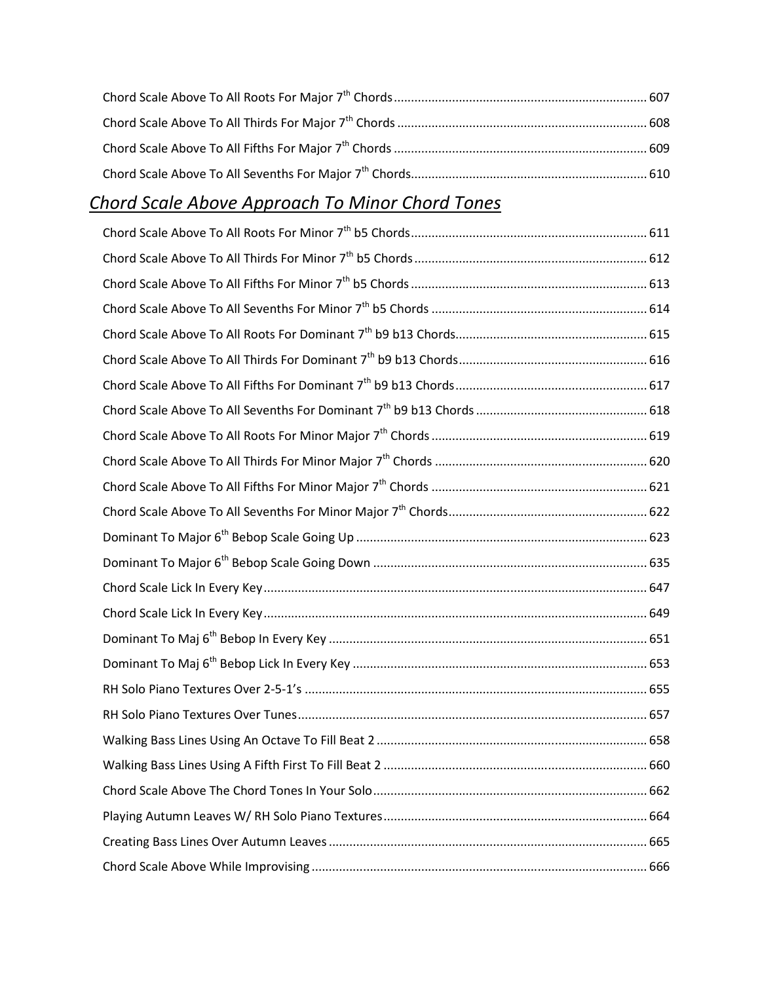## *Chord Scale Above Approach To Minor Chord Tones*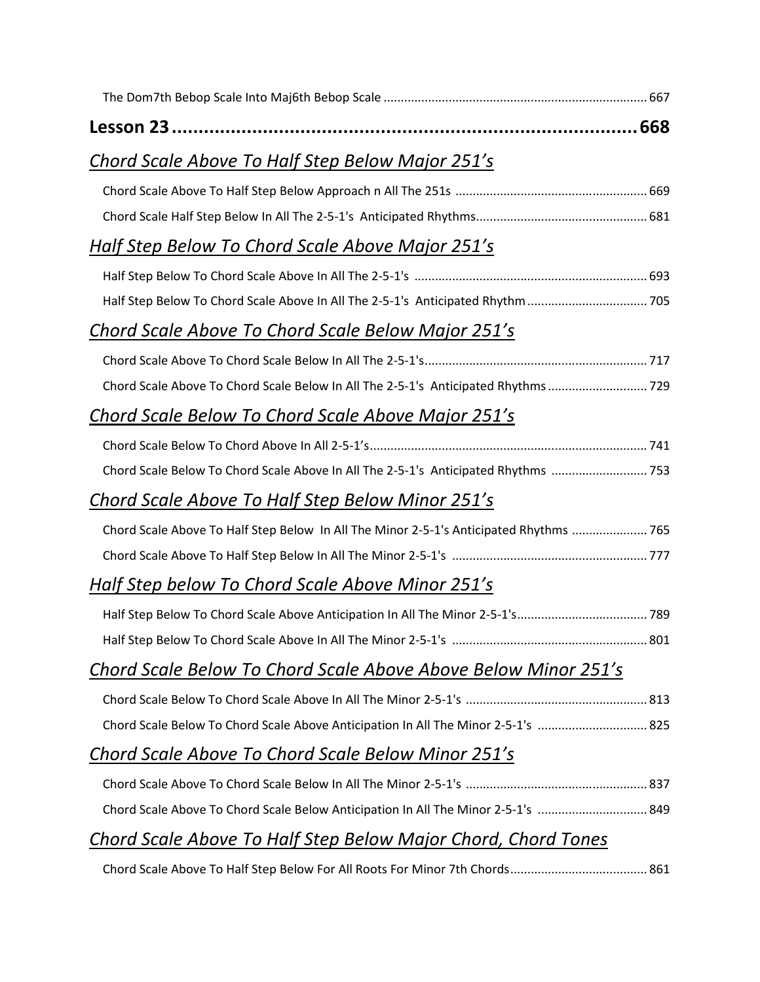| Chord Scale Above To Half Step Below Major 251's                                       |
|----------------------------------------------------------------------------------------|
|                                                                                        |
|                                                                                        |
| Half Step Below To Chord Scale Above Major 251's                                       |
|                                                                                        |
| Half Step Below To Chord Scale Above In All The 2-5-1's Anticipated Rhythm  705        |
| Chord Scale Above To Chord Scale Below Major 251's                                     |
|                                                                                        |
| Chord Scale Above To Chord Scale Below In All The 2-5-1's Anticipated Rhythms 729      |
| Chord Scale Below To Chord Scale Above Major 251's                                     |
|                                                                                        |
| Chord Scale Below To Chord Scale Above In All The 2-5-1's Anticipated Rhythms  753     |
| Chord Scale Above To Half Step Below Minor 251's                                       |
| Chord Scale Above To Half Step Below In All The Minor 2-5-1's Anticipated Rhythms  765 |
|                                                                                        |
| Half Step below To Chord Scale Above Minor 251's                                       |
|                                                                                        |
|                                                                                        |
| Chord Scale Below To Chord Scale Above Above Below Minor 251's                         |
|                                                                                        |
| Chord Scale Below To Chord Scale Above Anticipation In All The Minor 2-5-1's  825      |
| Chord Scale Above To Chord Scale Below Minor 251's                                     |
|                                                                                        |
| Chord Scale Above To Chord Scale Below Anticipation In All The Minor 2-5-1's  849      |
| Chord Scale Above To Half Step Below Major Chord, Chord Tones                          |
|                                                                                        |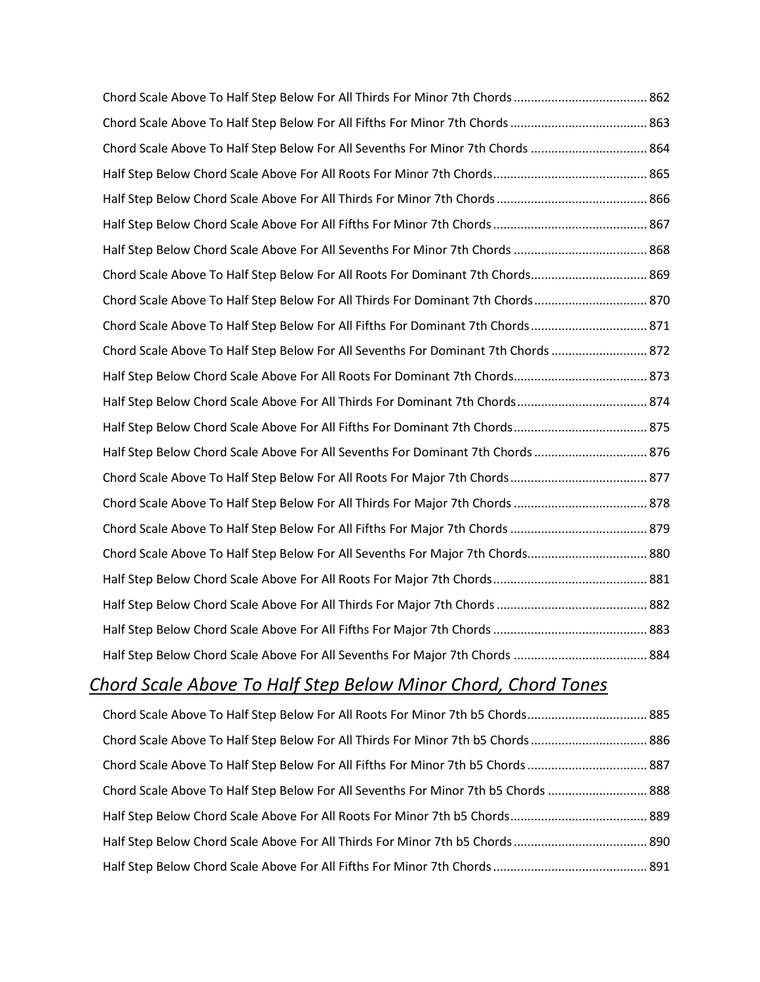| Chord Scale Above To Half Step Below For All Sevenths For Minor 7th Chords  864    |  |
|------------------------------------------------------------------------------------|--|
|                                                                                    |  |
|                                                                                    |  |
|                                                                                    |  |
|                                                                                    |  |
| Chord Scale Above To Half Step Below For All Roots For Dominant 7th Chords 869     |  |
| Chord Scale Above To Half Step Below For All Thirds For Dominant 7th Chords 870    |  |
| Chord Scale Above To Half Step Below For All Fifths For Dominant 7th Chords  871   |  |
| Chord Scale Above To Half Step Below For All Sevenths For Dominant 7th Chords  872 |  |
|                                                                                    |  |
|                                                                                    |  |
|                                                                                    |  |
| Half Step Below Chord Scale Above For All Sevenths For Dominant 7th Chords  876    |  |
|                                                                                    |  |
|                                                                                    |  |
|                                                                                    |  |
| Chord Scale Above To Half Step Below For All Sevenths For Major 7th Chords 880     |  |
|                                                                                    |  |
|                                                                                    |  |
|                                                                                    |  |
|                                                                                    |  |

### *Chord Scale Above To Half Step Below Minor Chord, Chord Tones*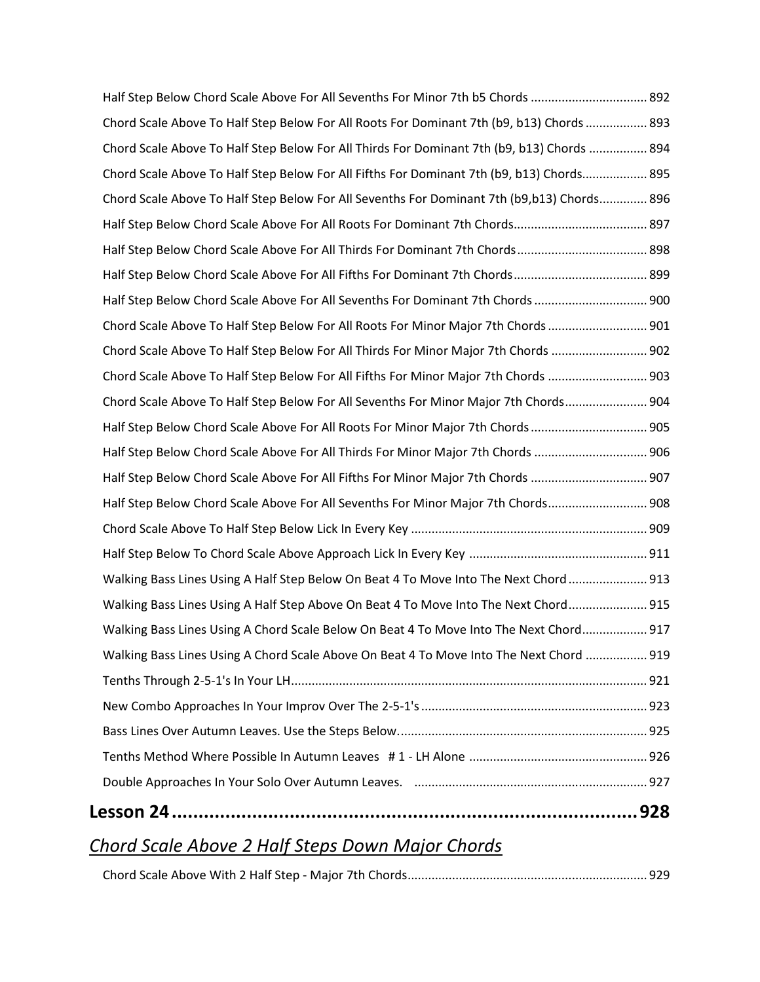| Half Step Below Chord Scale Above For All Sevenths For Minor 7th b5 Chords  892            |  |
|--------------------------------------------------------------------------------------------|--|
| Chord Scale Above To Half Step Below For All Roots For Dominant 7th (b9, b13) Chords  893  |  |
| Chord Scale Above To Half Step Below For All Thirds For Dominant 7th (b9, b13) Chords  894 |  |
| Chord Scale Above To Half Step Below For All Fifths For Dominant 7th (b9, b13) Chords 895  |  |
| Chord Scale Above To Half Step Below For All Sevenths For Dominant 7th (b9,b13) Chords 896 |  |
|                                                                                            |  |
| Half Step Below Chord Scale Above For All Thirds For Dominant 7th Chords 898               |  |
|                                                                                            |  |
| Half Step Below Chord Scale Above For All Sevenths For Dominant 7th Chords  900            |  |
| Chord Scale Above To Half Step Below For All Roots For Minor Major 7th Chords  901         |  |
| Chord Scale Above To Half Step Below For All Thirds For Minor Major 7th Chords  902        |  |
| Chord Scale Above To Half Step Below For All Fifths For Minor Major 7th Chords  903        |  |
| Chord Scale Above To Half Step Below For All Sevenths For Minor Major 7th Chords 904       |  |
| Half Step Below Chord Scale Above For All Roots For Minor Major 7th Chords  905            |  |
| Half Step Below Chord Scale Above For All Thirds For Minor Major 7th Chords  906           |  |
| Half Step Below Chord Scale Above For All Fifths For Minor Major 7th Chords  907           |  |
| Half Step Below Chord Scale Above For All Sevenths For Minor Major 7th Chords 908          |  |
|                                                                                            |  |
|                                                                                            |  |
| Walking Bass Lines Using A Half Step Below On Beat 4 To Move Into The Next Chord  913      |  |
| Walking Bass Lines Using A Half Step Above On Beat 4 To Move Into The Next Chord 915       |  |
| Walking Bass Lines Using A Chord Scale Below On Beat 4 To Move Into The Next Chord 917     |  |
| Walking Bass Lines Using A Chord Scale Above On Beat 4 To Move Into The Next Chord  919    |  |
|                                                                                            |  |
|                                                                                            |  |
|                                                                                            |  |
|                                                                                            |  |
|                                                                                            |  |
|                                                                                            |  |

# *Chord Scale Above 2 Half Steps Down Major Chords*

|--|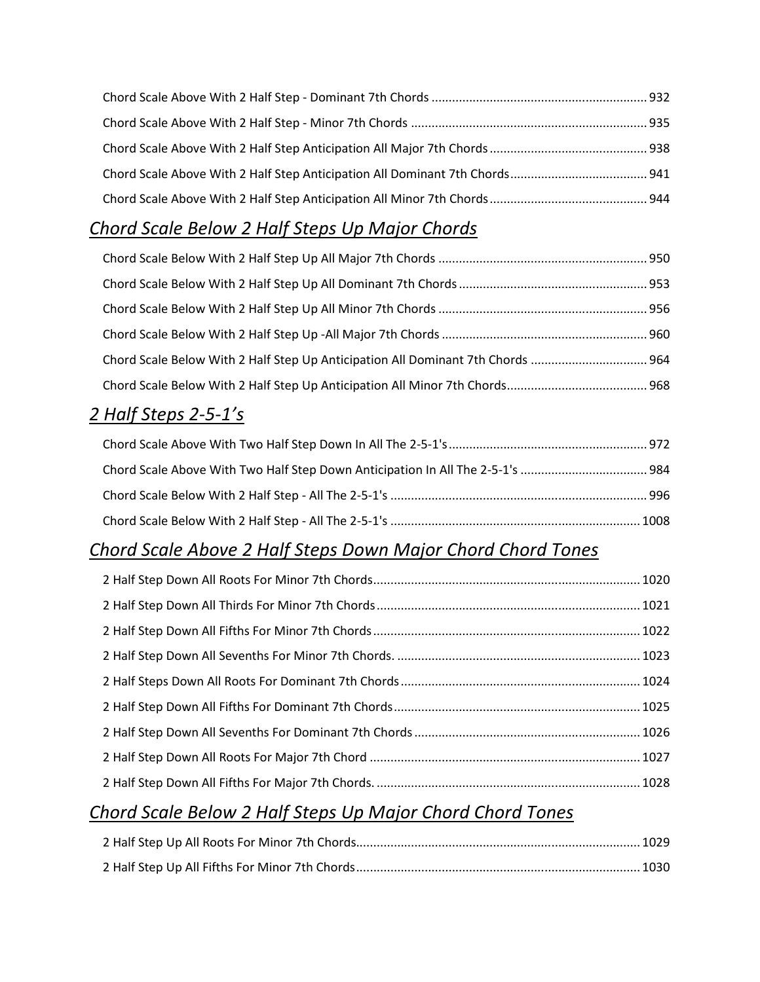#### *Chord Scale Below 2 Half Steps Up Major Chords*

| Chord Scale Below With 2 Half Step Up Anticipation All Dominant 7th Chords  964 |  |
|---------------------------------------------------------------------------------|--|
|                                                                                 |  |

#### *2 Half Steps 2-5-1's*

#### *Chord Scale Above 2 Half Steps Down Major Chord Chord Tones*

#### *Chord Scale Below 2 Half Steps Up Major Chord Chord Tones*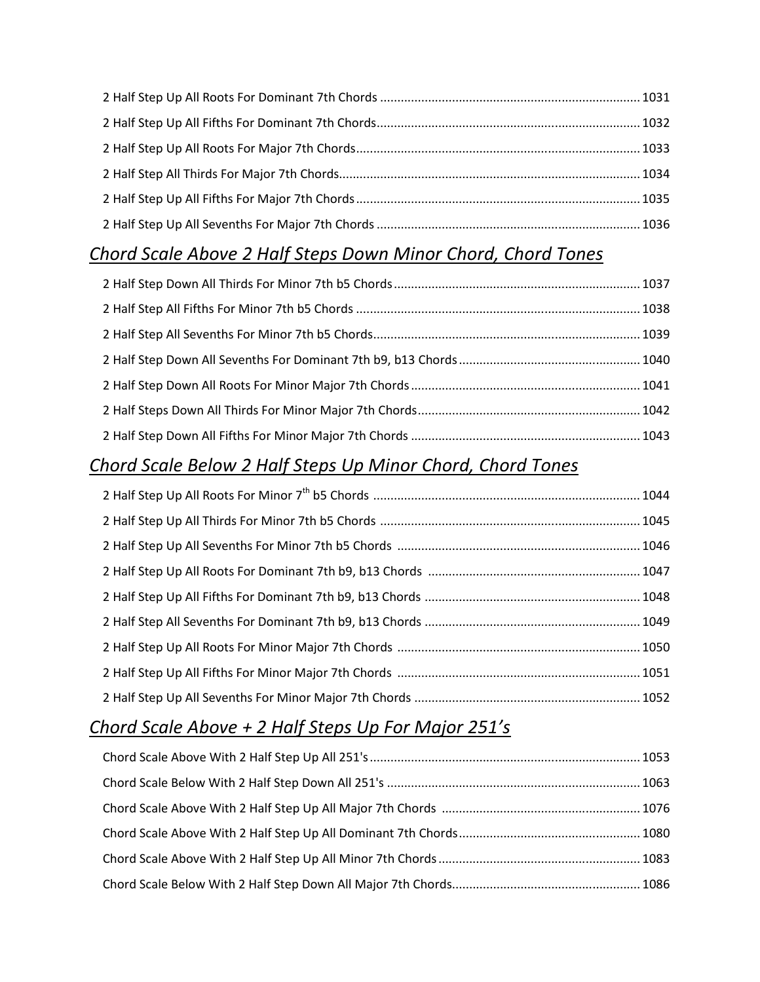#### *Chord Scale Above 2 Half Steps Down Minor Chord, Chord Tones*

#### *Chord Scale Below 2 Half Steps Up Minor Chord, Chord Tones*

#### *Chord Scale Above + 2 Half Steps Up For Major 251's*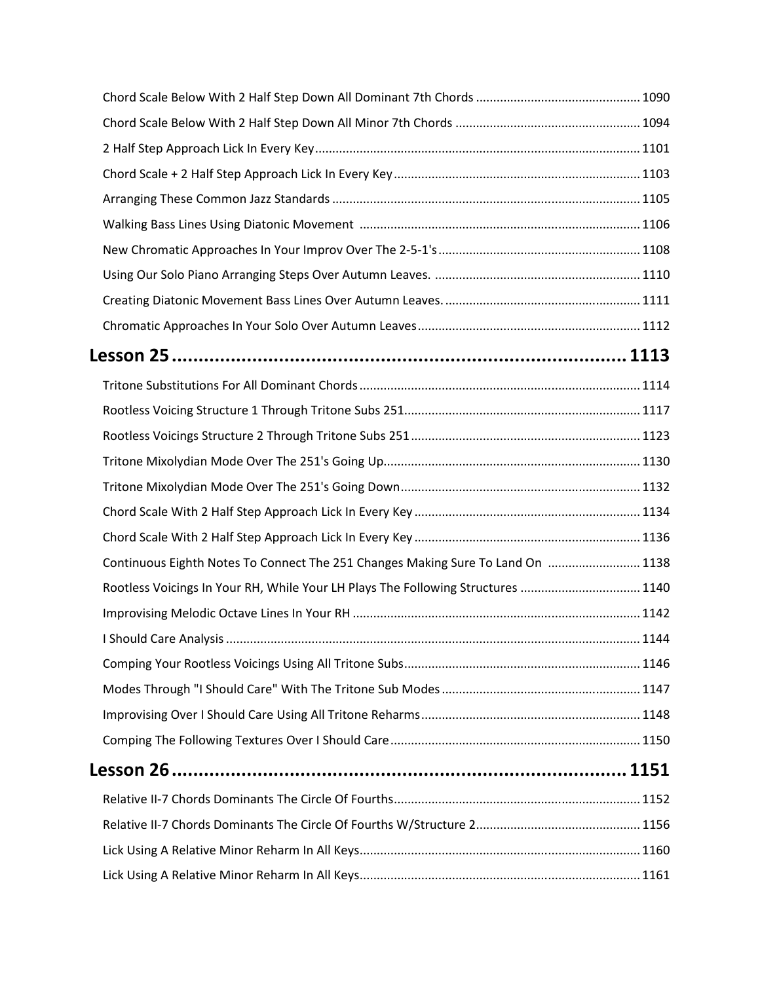| Continuous Eighth Notes To Connect The 251 Changes Making Sure To Land On  1138  |  |
|----------------------------------------------------------------------------------|--|
| Rootless Voicings In Your RH, While Your LH Plays The Following Structures  1140 |  |
|                                                                                  |  |
|                                                                                  |  |
|                                                                                  |  |
|                                                                                  |  |
|                                                                                  |  |
|                                                                                  |  |
|                                                                                  |  |
|                                                                                  |  |
|                                                                                  |  |
|                                                                                  |  |
|                                                                                  |  |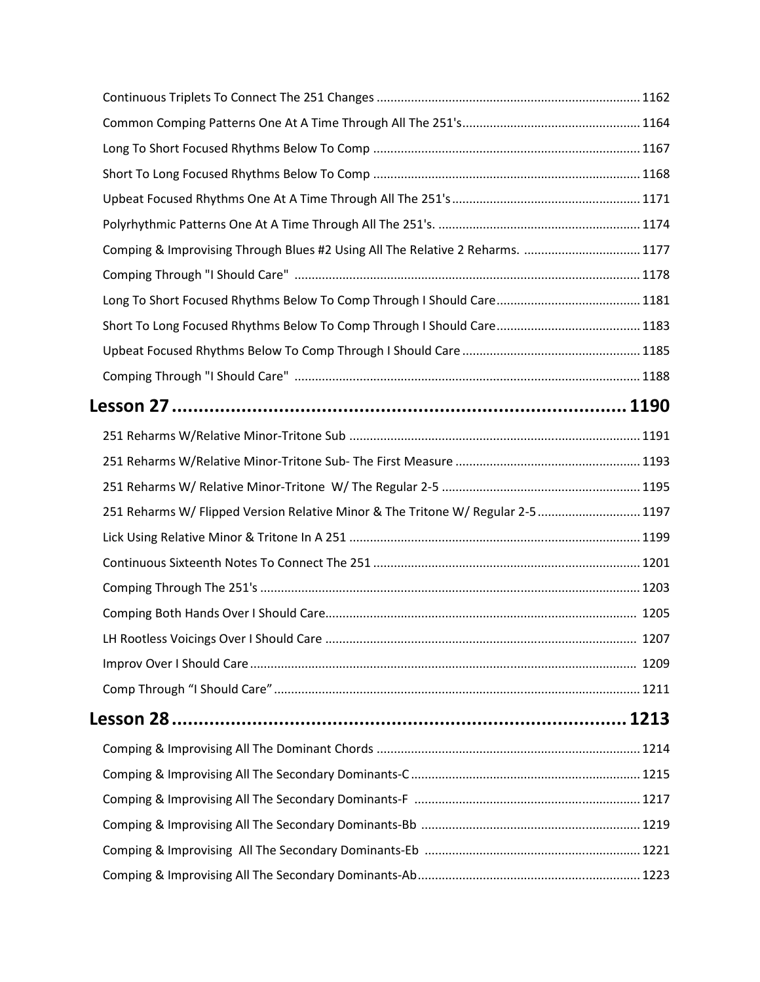| Comping & Improvising Through Blues #2 Using All The Relative 2 Reharms.  1177   |  |
|----------------------------------------------------------------------------------|--|
|                                                                                  |  |
|                                                                                  |  |
|                                                                                  |  |
|                                                                                  |  |
|                                                                                  |  |
|                                                                                  |  |
|                                                                                  |  |
|                                                                                  |  |
|                                                                                  |  |
| 251 Reharms W/ Flipped Version Relative Minor & The Tritone W/ Regular 2-5  1197 |  |
|                                                                                  |  |
|                                                                                  |  |
|                                                                                  |  |
|                                                                                  |  |
|                                                                                  |  |
|                                                                                  |  |
|                                                                                  |  |
|                                                                                  |  |
|                                                                                  |  |
|                                                                                  |  |
|                                                                                  |  |
|                                                                                  |  |
|                                                                                  |  |
|                                                                                  |  |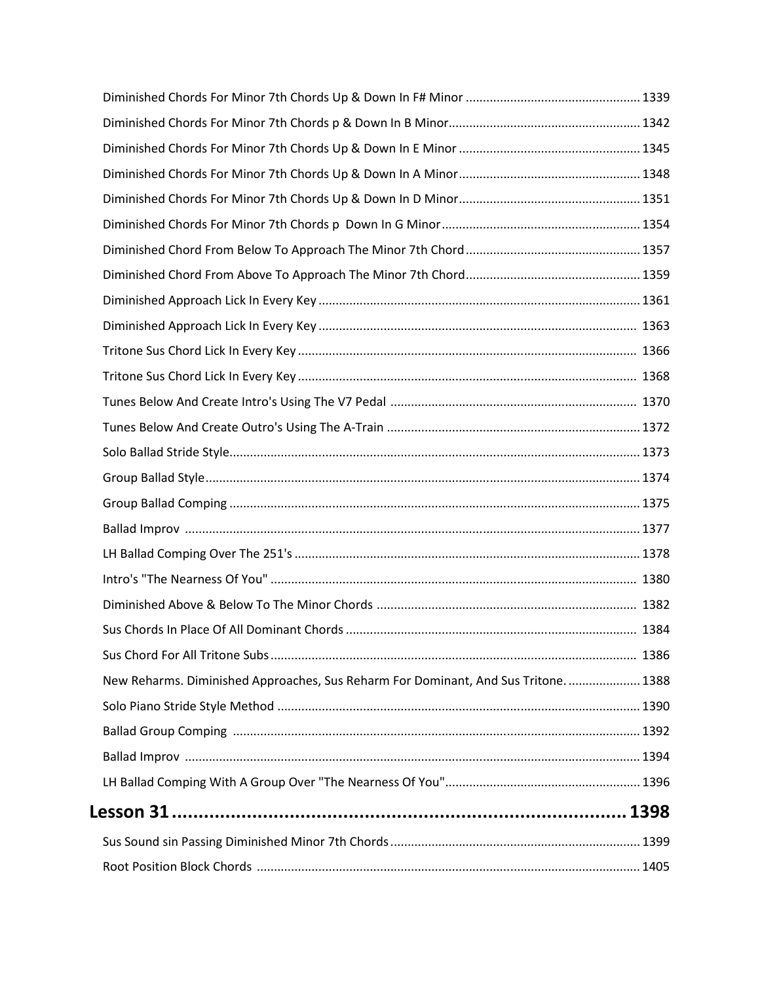| New Reharms. Diminished Approaches, Sus Reharm For Dominant, And Sus Tritone 1388 |  |
|-----------------------------------------------------------------------------------|--|
|                                                                                   |  |
|                                                                                   |  |
|                                                                                   |  |
|                                                                                   |  |
|                                                                                   |  |
|                                                                                   |  |
|                                                                                   |  |
|                                                                                   |  |